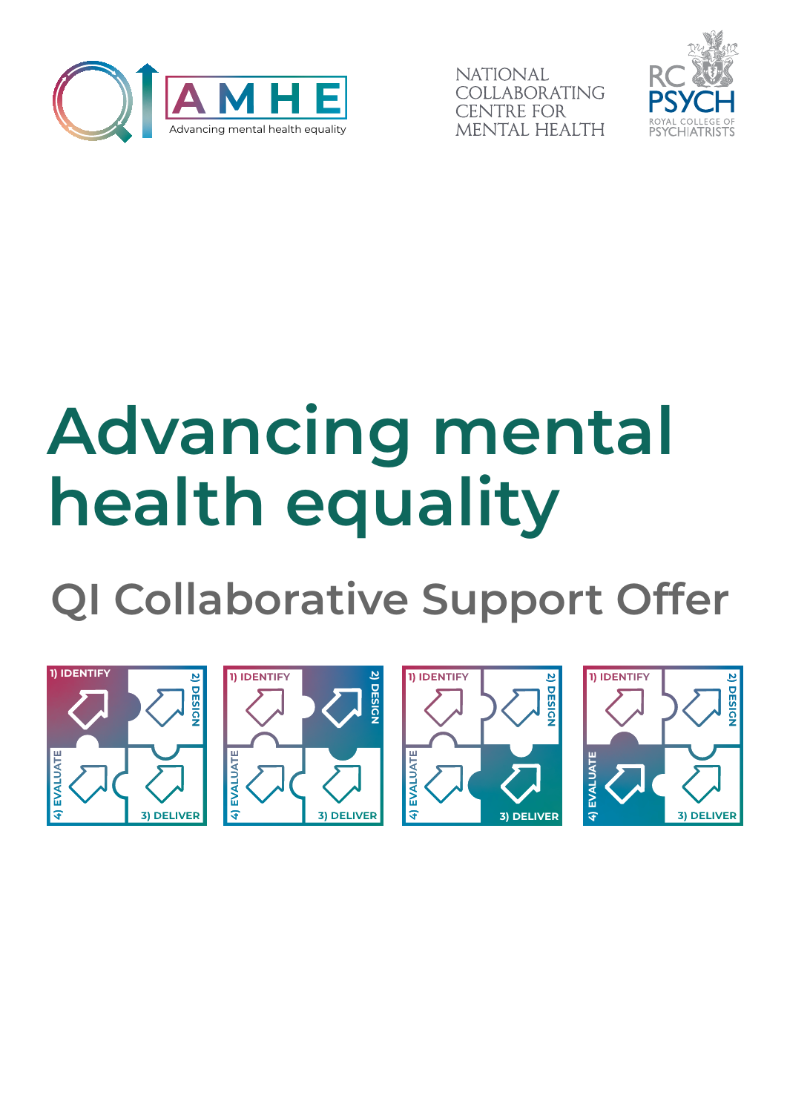

**NATIONAL** COLLABORATING **ENTRE FOR** MENTAL HEALTH



# **Advancing mental health equality**

**QI Collaborative Support Offer**

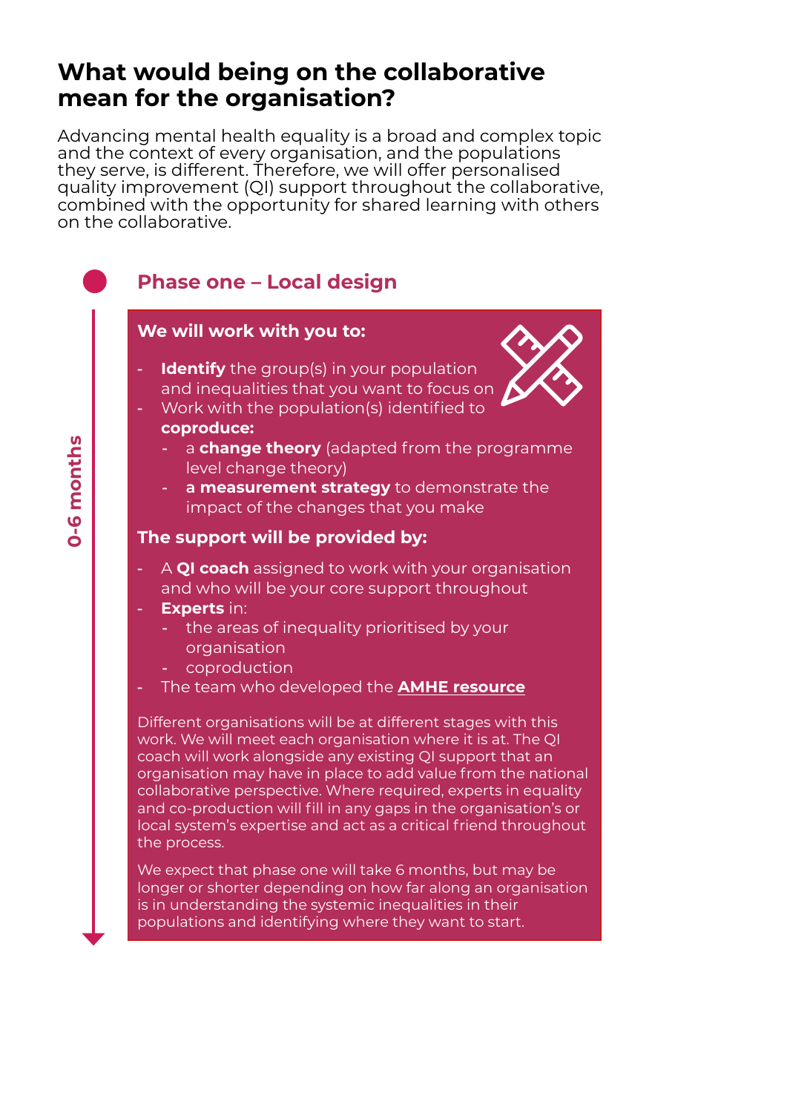## **What would being on the collaborative mean for the organisation?**

Advancing mental health equality is a broad and complex topic and the context of every organisation, and the populations they serve, is different. Therefore, we will offer personalised quality improvement (QI) support throughout the collaborative, combined with the opportunity for shared learning with others on the collaborative.

#### **Phase one – Local design We will work with you to: Identify** the group(s) in your population and inequalities that you want to focus on - Work with the population(s) identified to **coproduce:** 0-6 months  **0-6 months** a **change theory** (adapted from the programme level change theory) - **a measurement strategy** to demonstrate the impact of the changes that you make **The support will be provided by:** A **QI coach** assigned to work with your organisation and who will be your core support throughout **Experts** in: the areas of inequality prioritised by your organisation coproduction - The team who developed the **[AMHE resource](https://www.rcpsych.ac.uk/improving-care/nccmh/care-pathways/advancing-mental-health-equality)** Different organisations will be at different stages with this work. We will meet each organisation where it is at. The QI coach will work alongside any existing QI support that an organisation may have in place to add value from the national collaborative perspective. Where required, experts in equality and co-production will fill in any gaps in the organisation's or local system's expertise and act as a critical friend throughout the process. We expect that phase one will take 6 months, but may be longer or shorter depending on how far along an organisation is in understanding the systemic inequalities in their populations and identifying where they want to start.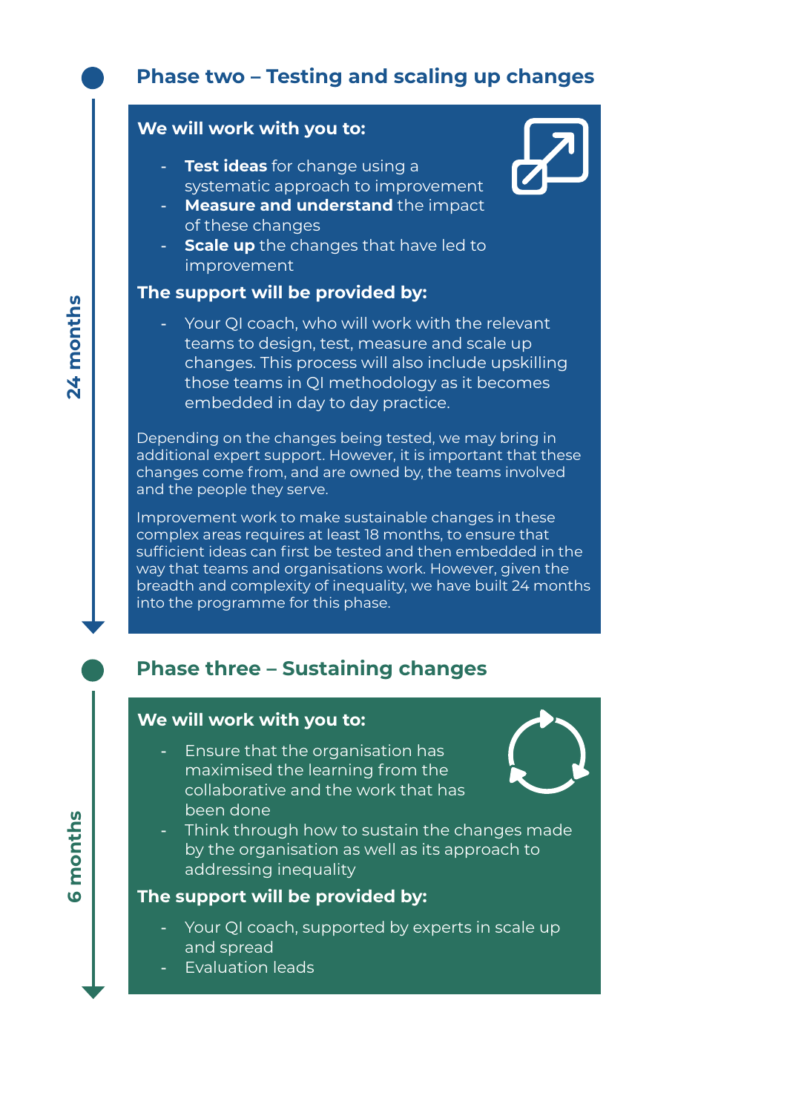### **Phase two – Testing and scaling up changes**

#### **We will work with you to:**

- **Test ideas** for change using a systematic approach to improvement
- **Measure and understand** the impact of these changes
- **Scale up** the changes that have led to improvement

#### **The support will be provided by:**

Your QI coach, who will work with the relevant teams to design, test, measure and scale up changes. This process will also include upskilling those teams in QI methodology as it becomes embedded in day to day practice.

Depending on the changes being tested, we may bring in additional expert support. However, it is important that these changes come from, and are owned by, the teams involved and the people they serve.

Improvement work to make sustainable changes in these complex areas requires at least 18 months, to ensure that sufficient ideas can first be tested and then embedded in the way that teams and organisations work. However, given the breadth and complexity of inequality, we have built 24 months into the programme for this phase.

## **Phase three – Sustaining changes**

#### **We will work with you to:**

- Ensure that the organisation has maximised the learning from the collaborative and the work that has been done



Think through how to sustain the changes made by the organisation as well as its approach to addressing inequality

#### **The support will be provided by:**

- Your QI coach, supported by experts in scale up and spread
- Evaluation leads

24 months **24 months**

**6 months**

tδ

months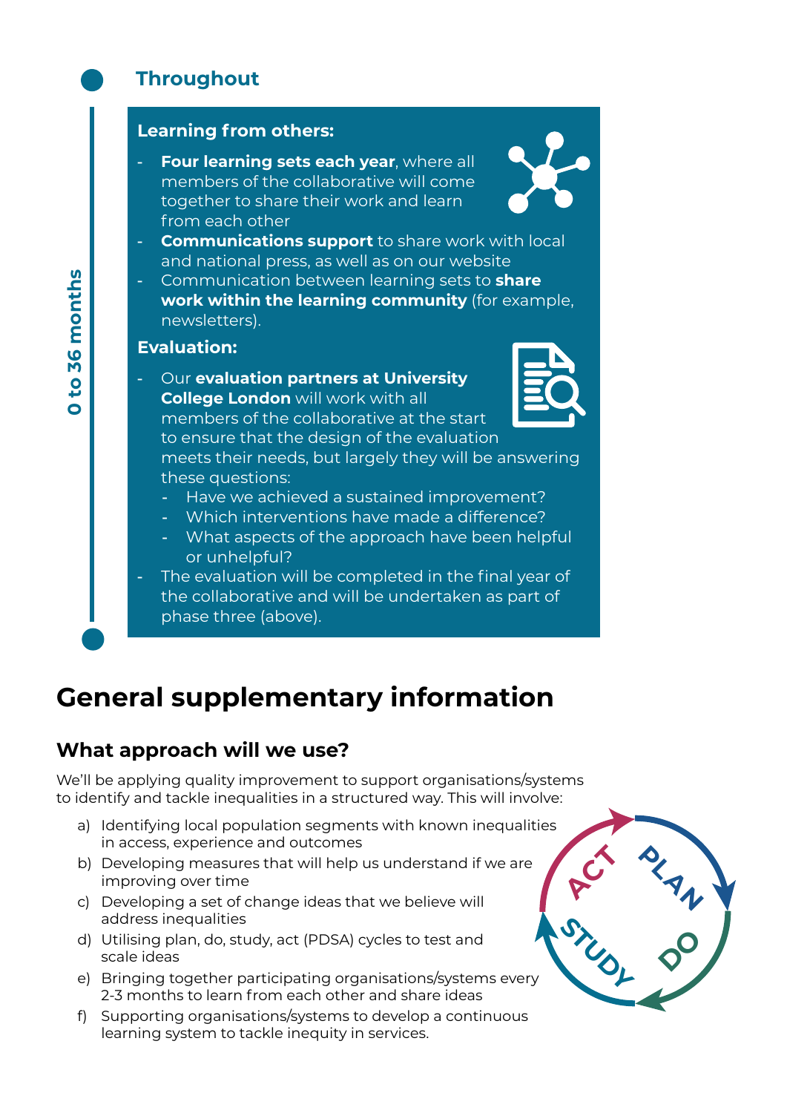## **Throughout**

#### **Learning from others:**

**Four learning sets each year**, where all members of the collaborative will come together to share their work and learn from each other



- **Communications support** to share work with local and national press, as well as on our website
- Communication between learning sets to **share work within the learning community** (for example, newsletters).

#### **Evaluation:**

- Our **evaluation partners at University College London** will work with all members of the collaborative at the start to ensure that the design of the evaluation meets their needs, but largely they will be answering these questions:
	- Have we achieved a sustained improvement?
	- Which interventions have made a difference?
	- What aspects of the approach have been helpful or unhelpful?

The evaluation will be completed in the final year of the collaborative and will be undertaken as part of phase three (above).

## **General supplementary information**

#### **What approach will we use?**

We'll be applying quality improvement to support organisations/systems to identify and tackle inequalities in a structured way. This will involve:

- a) Identifying local population segments with known inequalities in access, experience and outcomes
- b) Developing measures that will help us understand if we are improving over time
- c) Developing a set of change ideas that we believe will address inequalities
- d) Utilising plan, do, study, act (PDSA) cycles to test and scale ideas
- e) Bringing together participating organisations/systems every 2-3 months to learn from each other and share ideas
- f) Supporting organisations/systems to develop a continuous learning system to tackle inequity in services.

**DO PLA A N**  $\vec{C}$ STUDY

to 36 months **0 to 36 months**  $\ddot{\mathbf{o}}$